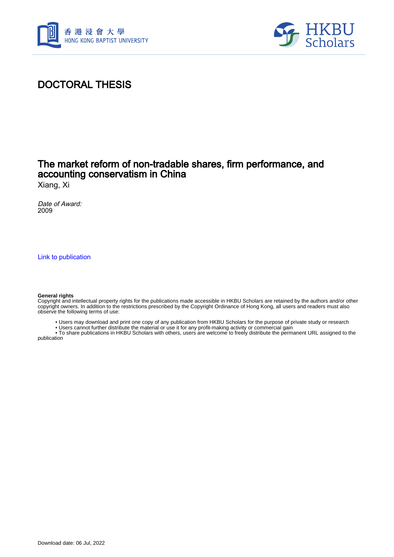



### DOCTORAL THESIS

#### The market reform of non-tradable shares, firm performance, and accounting conservatism in China

Xiang, Xi

Date of Award: 2009

[Link to publication](https://scholars.hkbu.edu.hk/en/studentTheses/cd3d463c-3509-4832-bb15-2c27e858801b)

#### **General rights**

Copyright and intellectual property rights for the publications made accessible in HKBU Scholars are retained by the authors and/or other copyright owners. In addition to the restrictions prescribed by the Copyright Ordinance of Hong Kong, all users and readers must also observe the following terms of use:

- Users may download and print one copy of any publication from HKBU Scholars for the purpose of private study or research
- Users cannot further distribute the material or use it for any profit-making activity or commercial gain

 • To share publications in HKBU Scholars with others, users are welcome to freely distribute the permanent URL assigned to the publication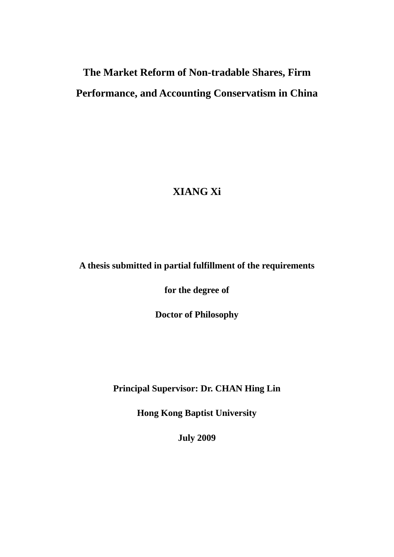# **The Market Reform of Non-tradable Shares, Firm Performance, and Accounting Conservatism in China**

## **XIANG Xi**

#### **A thesis submitted in partial fulfillment of the requirements**

**for the degree of** 

**Doctor of Philosophy** 

**Principal Supervisor: Dr. CHAN Hing Lin** 

**Hong Kong Baptist University** 

**July 2009**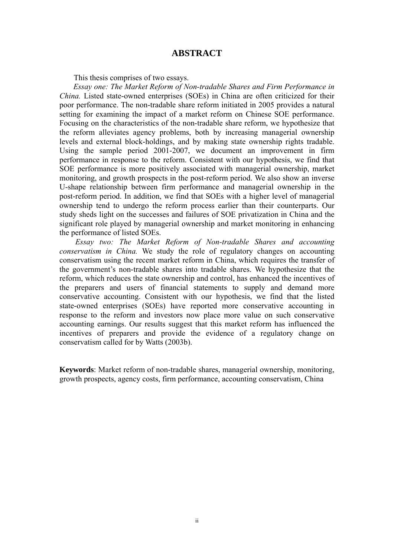#### **ABSTRACT**

This thesis comprises of two essays.

<span id="page-2-0"></span>*Essay one: The Market Reform of Non-tradable Shares and Firm Performance in China.* Listed state-owned enterprises (SOEs) in China are often criticized for their poor performance. The non-tradable share reform initiated in 2005 provides a natural setting for examining the impact of a market reform on Chinese SOE performance. Focusing on the characteristics of the non-tradable share reform, we hypothesize that the reform alleviates agency problems, both by increasing managerial ownership levels and external block-holdings, and by making state ownership rights tradable. Using the sample period 2001-2007, we document an improvement in firm performance in response to the reform. Consistent with our hypothesis, we find that SOE performance is more positively associated with managerial ownership, market monitoring, and growth prospects in the post-reform period. We also show an inverse U-shape relationship between firm performance and managerial ownership in the post-reform period. In addition, we find that SOEs with a higher level of managerial ownership tend to undergo the reform process earlier than their counterparts. Our study sheds light on the successes and failures of SOE privatization in China and the significant role played by managerial ownership and market monitoring in enhancing the performance of listed SOEs.

*Essay two: The Market Reform of Non-tradable Shares and accounting conservatism in China.* We study the role of regulatory changes on accounting conservatism using the recent market reform in China, which requires the transfer of the government's non-tradable shares into tradable shares. We hypothesize that the reform, which reduces the state ownership and control, has enhanced the incentives of the preparers and users of financial statements to supply and demand more conservative accounting. Consistent with our hypothesis, we find that the listed state-owned enterprises (SOEs) have reported more conservative accounting in response to the reform and investors now place more value on such conservative accounting earnings. Our results suggest that this market reform has influenced the incentives of preparers and provide the evidence of a regulatory change on conservatism called for by Watts (2003b).

**Keywords**: Market reform of non-tradable shares, managerial ownership, monitoring, growth prospects, agency costs, firm performance, accounting conservatism, China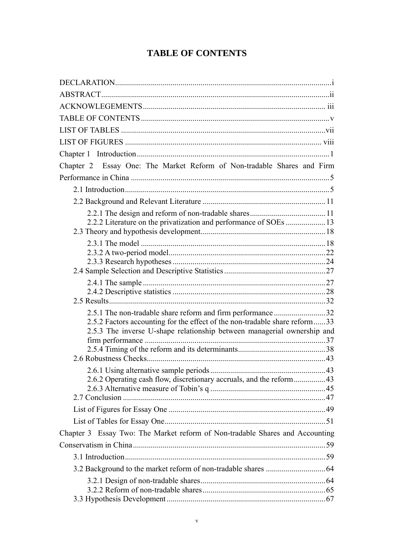#### **TABLE OF CONTENTS**

<span id="page-3-0"></span>

| Chapter 2 Essay One: The Market Reform of Non-tradable Shares and Firm<br>2.5.1 The non-tradable share reform and firm performance 32<br>2.5.2 Factors accounting for the effect of the non-tradable share reform33<br>2.5.3 The inverse U-shape relationship between managerial ownership and<br>2.6.2 Operating cash flow, discretionary accruals, and the reform43<br>Chapter 3 Essay Two: The Market reform of Non-tradable Shares and Accounting |  |
|-------------------------------------------------------------------------------------------------------------------------------------------------------------------------------------------------------------------------------------------------------------------------------------------------------------------------------------------------------------------------------------------------------------------------------------------------------|--|
|                                                                                                                                                                                                                                                                                                                                                                                                                                                       |  |
|                                                                                                                                                                                                                                                                                                                                                                                                                                                       |  |
|                                                                                                                                                                                                                                                                                                                                                                                                                                                       |  |
|                                                                                                                                                                                                                                                                                                                                                                                                                                                       |  |
|                                                                                                                                                                                                                                                                                                                                                                                                                                                       |  |
|                                                                                                                                                                                                                                                                                                                                                                                                                                                       |  |
|                                                                                                                                                                                                                                                                                                                                                                                                                                                       |  |
|                                                                                                                                                                                                                                                                                                                                                                                                                                                       |  |
|                                                                                                                                                                                                                                                                                                                                                                                                                                                       |  |
|                                                                                                                                                                                                                                                                                                                                                                                                                                                       |  |
|                                                                                                                                                                                                                                                                                                                                                                                                                                                       |  |
|                                                                                                                                                                                                                                                                                                                                                                                                                                                       |  |
|                                                                                                                                                                                                                                                                                                                                                                                                                                                       |  |
|                                                                                                                                                                                                                                                                                                                                                                                                                                                       |  |
|                                                                                                                                                                                                                                                                                                                                                                                                                                                       |  |
|                                                                                                                                                                                                                                                                                                                                                                                                                                                       |  |
|                                                                                                                                                                                                                                                                                                                                                                                                                                                       |  |
|                                                                                                                                                                                                                                                                                                                                                                                                                                                       |  |
|                                                                                                                                                                                                                                                                                                                                                                                                                                                       |  |
|                                                                                                                                                                                                                                                                                                                                                                                                                                                       |  |
|                                                                                                                                                                                                                                                                                                                                                                                                                                                       |  |
|                                                                                                                                                                                                                                                                                                                                                                                                                                                       |  |
|                                                                                                                                                                                                                                                                                                                                                                                                                                                       |  |
|                                                                                                                                                                                                                                                                                                                                                                                                                                                       |  |
|                                                                                                                                                                                                                                                                                                                                                                                                                                                       |  |
|                                                                                                                                                                                                                                                                                                                                                                                                                                                       |  |
|                                                                                                                                                                                                                                                                                                                                                                                                                                                       |  |
|                                                                                                                                                                                                                                                                                                                                                                                                                                                       |  |
|                                                                                                                                                                                                                                                                                                                                                                                                                                                       |  |
|                                                                                                                                                                                                                                                                                                                                                                                                                                                       |  |
|                                                                                                                                                                                                                                                                                                                                                                                                                                                       |  |
|                                                                                                                                                                                                                                                                                                                                                                                                                                                       |  |
|                                                                                                                                                                                                                                                                                                                                                                                                                                                       |  |
|                                                                                                                                                                                                                                                                                                                                                                                                                                                       |  |
|                                                                                                                                                                                                                                                                                                                                                                                                                                                       |  |
|                                                                                                                                                                                                                                                                                                                                                                                                                                                       |  |